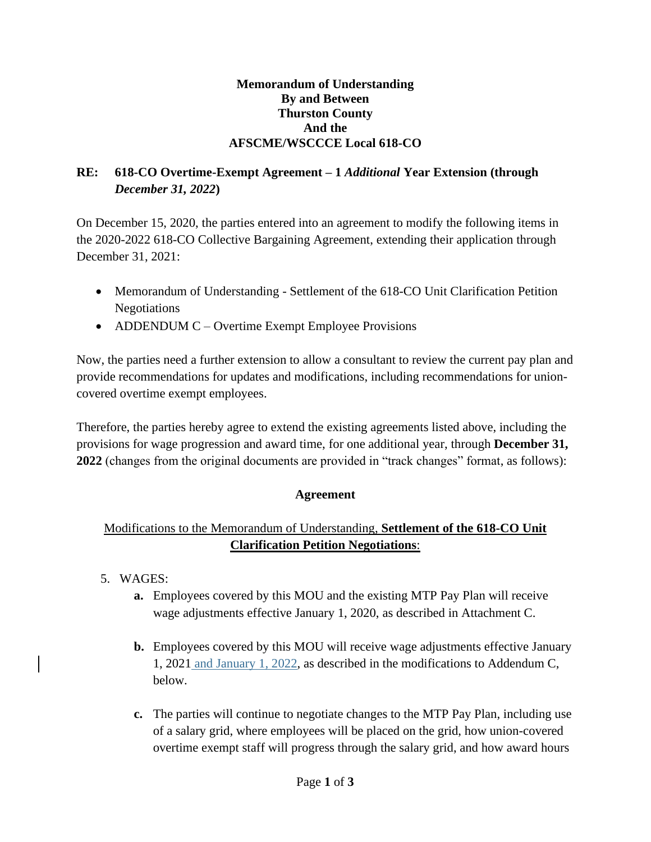### **Memorandum of Understanding By and Between Thurston County And the AFSCME/WSCCCE Local 618-CO**

# **RE: 618-CO Overtime-Exempt Agreement – 1** *Additional* **Year Extension (through**  *December 31, 2022***)**

On December 15, 2020, the parties entered into an agreement to modify the following items in the 2020-2022 618-CO Collective Bargaining Agreement, extending their application through December 31, 2021:

- Memorandum of Understanding Settlement of the 618-CO Unit Clarification Petition Negotiations
- ADDENDUM C Overtime Exempt Employee Provisions

Now, the parties need a further extension to allow a consultant to review the current pay plan and provide recommendations for updates and modifications, including recommendations for unioncovered overtime exempt employees.

Therefore, the parties hereby agree to extend the existing agreements listed above, including the provisions for wage progression and award time, for one additional year, through **December 31, 2022** (changes from the original documents are provided in "track changes" format, as follows):

## **Agreement**

## Modifications to the Memorandum of Understanding, **Settlement of the 618-CO Unit Clarification Petition Negotiations**:

- 5. WAGES:
	- **a.** Employees covered by this MOU and the existing MTP Pay Plan will receive wage adjustments effective January 1, 2020, as described in Attachment C.
	- **b.** Employees covered by this MOU will receive wage adjustments effective January 1, 2021 and January 1, 2022, as described in the modifications to Addendum C, below.
	- **c.** The parties will continue to negotiate changes to the MTP Pay Plan, including use of a salary grid, where employees will be placed on the grid, how union-covered overtime exempt staff will progress through the salary grid, and how award hours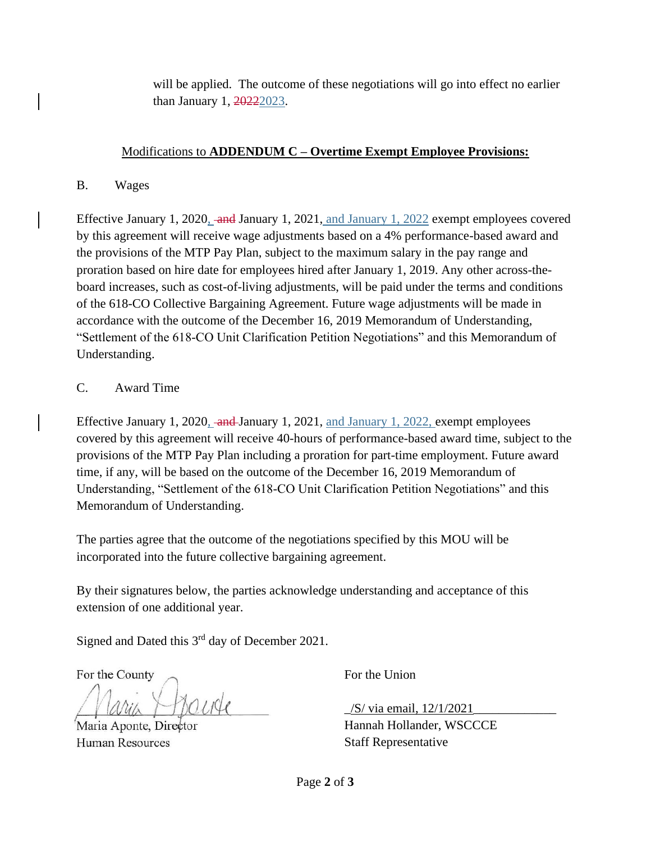will be applied. The outcome of these negotiations will go into effect no earlier than January 1, 20222023.

## Modifications to **ADDENDUM C – Overtime Exempt Employee Provisions:**

B. Wages

Effective January 1, 2020, and January 1, 2021, and January 1, 2022 exempt employees covered by this agreement will receive wage adjustments based on a 4% performance-based award and the provisions of the MTP Pay Plan, subject to the maximum salary in the pay range and proration based on hire date for employees hired after January 1, 2019. Any other across-theboard increases, such as cost-of-living adjustments, will be paid under the terms and conditions of the 618-CO Collective Bargaining Agreement. Future wage adjustments will be made in accordance with the outcome of the December 16, 2019 Memorandum of Understanding, "Settlement of the 618-CO Unit Clarification Petition Negotiations" and this Memorandum of Understanding.

## C. Award Time

Effective January 1, 2020, and January 1, 2021, and January 1, 2022, exempt employees covered by this agreement will receive 40-hours of performance-based award time, subject to the provisions of the MTP Pay Plan including a proration for part-time employment. Future award time, if any, will be based on the outcome of the December 16, 2019 Memorandum of Understanding, "Settlement of the 618-CO Unit Clarification Petition Negotiations" and this Memorandum of Understanding.

The parties agree that the outcome of the negotiations specified by this MOU will be incorporated into the future collective bargaining agreement.

By their signatures below, the parties acknowledge understanding and acceptance of this extension of one additional year.

Signed and Dated this  $3<sup>rd</sup>$  day of December 2021.

For the County  $\sim$  For the Union

Human Resources Staff Representative

/S/ via email, 12/1/2021

Maria Aponte, Director Hannah Hollander, WSCCCE